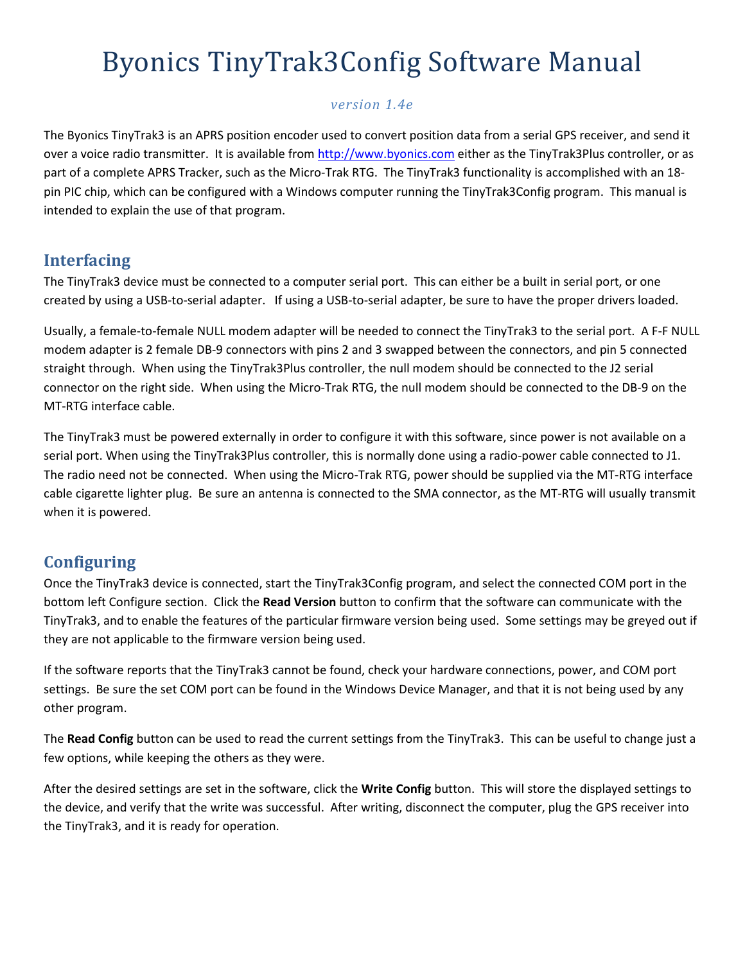# Byonics TinyTrak3Config Software Manual

#### version 1.4e

The Byonics TinyTrak3 is an APRS position encoder used to convert position data from a serial GPS receiver, and send it over a voice radio transmitter. It is available from http://www.byonics.com either as the TinyTrak3Plus controller, or as part of a complete APRS Tracker, such as the Micro-Trak RTG. The TinyTrak3 functionality is accomplished with an 18 pin PIC chip, which can be configured with a Windows computer running the TinyTrak3Config program. This manual is intended to explain the use of that program.

## Interfacing

The TinyTrak3 device must be connected to a computer serial port. This can either be a built in serial port, or one created by using a USB-to-serial adapter. If using a USB-to-serial adapter, be sure to have the proper drivers loaded.

Usually, a female-to-female NULL modem adapter will be needed to connect the TinyTrak3 to the serial port. A F-F NULL modem adapter is 2 female DB-9 connectors with pins 2 and 3 swapped between the connectors, and pin 5 connected straight through. When using the TinyTrak3Plus controller, the null modem should be connected to the J2 serial connector on the right side. When using the Micro-Trak RTG, the null modem should be connected to the DB-9 on the MT-RTG interface cable.

The TinyTrak3 must be powered externally in order to configure it with this software, since power is not available on a serial port. When using the TinyTrak3Plus controller, this is normally done using a radio-power cable connected to J1. The radio need not be connected. When using the Micro-Trak RTG, power should be supplied via the MT-RTG interface cable cigarette lighter plug. Be sure an antenna is connected to the SMA connector, as the MT-RTG will usually transmit when it is powered.

## **Configuring**

Once the TinyTrak3 device is connected, start the TinyTrak3Config program, and select the connected COM port in the bottom left Configure section. Click the Read Version button to confirm that the software can communicate with the TinyTrak3, and to enable the features of the particular firmware version being used. Some settings may be greyed out if they are not applicable to the firmware version being used.

If the software reports that the TinyTrak3 cannot be found, check your hardware connections, power, and COM port settings. Be sure the set COM port can be found in the Windows Device Manager, and that it is not being used by any other program.

The Read Config button can be used to read the current settings from the TinyTrak3. This can be useful to change just a few options, while keeping the others as they were.

After the desired settings are set in the software, click the Write Config button. This will store the displayed settings to the device, and verify that the write was successful. After writing, disconnect the computer, plug the GPS receiver into the TinyTrak3, and it is ready for operation.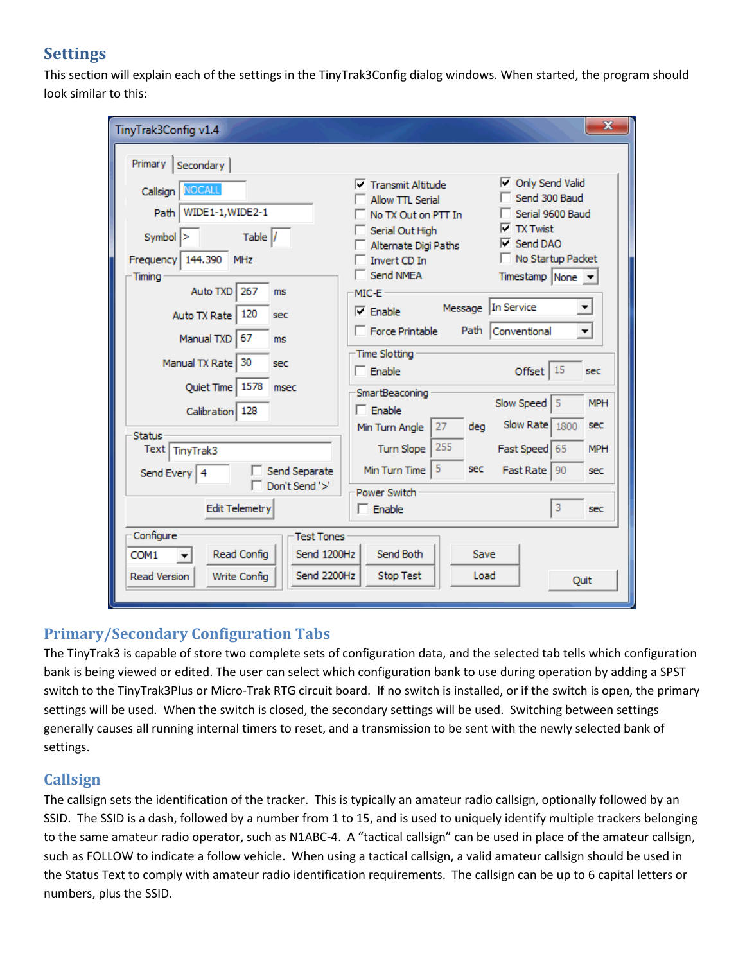## **Settings**

This section will explain each of the settings in the TinyTrak3Config dialog windows. When started, the program should look similar to this:

| $\mathbf x$<br>TinyTrak3Config v1.4                                                                                                                 |                                                                                                                                                                                                                                                                                                                                                                                 |  |  |  |  |  |  |  |  |  |  |
|-----------------------------------------------------------------------------------------------------------------------------------------------------|---------------------------------------------------------------------------------------------------------------------------------------------------------------------------------------------------------------------------------------------------------------------------------------------------------------------------------------------------------------------------------|--|--|--|--|--|--|--|--|--|--|
| Primary<br>Secondary                                                                                                                                |                                                                                                                                                                                                                                                                                                                                                                                 |  |  |  |  |  |  |  |  |  |  |
| <b>NOCALL</b><br>Callsign<br>WIDE1-1, WIDE2-1<br>Path<br>Table /<br>Symbol<br>144.390<br>Frequency<br><b>MHz</b><br>Timing<br>267<br>Auto TXD<br>ms | Only Send Valid<br>⊮<br>☞<br><b>Transmit Altitude</b><br>Send 300 Baud<br><b>Allow TTL Serial</b><br>Serial 9600 Baud<br>No TX Out on PTT In<br><b>TX Twist</b><br>⋉<br>Serial Out High<br>Send DAO<br>⊽<br>Alternate Digi Paths<br>No Startup Packet<br>Invert CD In<br>Send NMFA<br>Timestamp None $\mathbf{v}$<br>MIC-E<br>In Service<br>Message<br>$\overline{\phantom{a}}$ |  |  |  |  |  |  |  |  |  |  |
| 120<br>Auto TX Rate<br>sec<br>67<br>Manual TXD<br>ms<br>30<br>Manual TX Rate<br>sec<br>1578<br><b>Ouiet Time</b><br>msec<br>Calibration 128         | $\nabla$ Enable<br>$\vert$<br>Force Printable<br>Path<br>Conventional<br>Time Slotting<br>15<br>$\Box$ Enable<br>Offset<br>sec<br>SmartBeaconing<br>Slow Speed<br><b>MPH</b><br>5<br>$\Box$ Enable<br>Slow Rate                                                                                                                                                                 |  |  |  |  |  |  |  |  |  |  |
| Status<br>Text   TinyTrak3<br>Send Separate<br>Send Every   4<br>Don't Send '>'<br><b>Edit Telemetry</b>                                            | 1800<br>sec<br>27<br>deg<br>Min Turn Angle<br>255<br>Turn Slope<br>Fast Speed 65<br><b>MPH</b><br>5<br>sec<br>Min Turn Time<br><b>Fast Rate</b><br>90<br>sec<br>Power Switch<br>3<br>Enable<br>sec                                                                                                                                                                              |  |  |  |  |  |  |  |  |  |  |
| Configure<br><b>Test Tones</b><br>Read Config<br>Send 1200Hz<br>COM1<br>Send 2200Hz<br><b>Read Version</b><br>Write Config                          | Send Both<br>Save<br><b>Stop Test</b><br>Load<br>Quit                                                                                                                                                                                                                                                                                                                           |  |  |  |  |  |  |  |  |  |  |

## Primary/Secondary Configuration Tabs

The TinyTrak3 is capable of store two complete sets of configuration data, and the selected tab tells which configuration bank is being viewed or edited. The user can select which configuration bank to use during operation by adding a SPST switch to the TinyTrak3Plus or Micro-Trak RTG circuit board. If no switch is installed, or if the switch is open, the primary settings will be used. When the switch is closed, the secondary settings will be used. Switching between settings generally causes all running internal timers to reset, and a transmission to be sent with the newly selected bank of settings.

## Callsign

The callsign sets the identification of the tracker. This is typically an amateur radio callsign, optionally followed by an SSID. The SSID is a dash, followed by a number from 1 to 15, and is used to uniquely identify multiple trackers belonging to the same amateur radio operator, such as N1ABC-4. A "tactical callsign" can be used in place of the amateur callsign, such as FOLLOW to indicate a follow vehicle. When using a tactical callsign, a valid amateur callsign should be used in the Status Text to comply with amateur radio identification requirements. The callsign can be up to 6 capital letters or numbers, plus the SSID.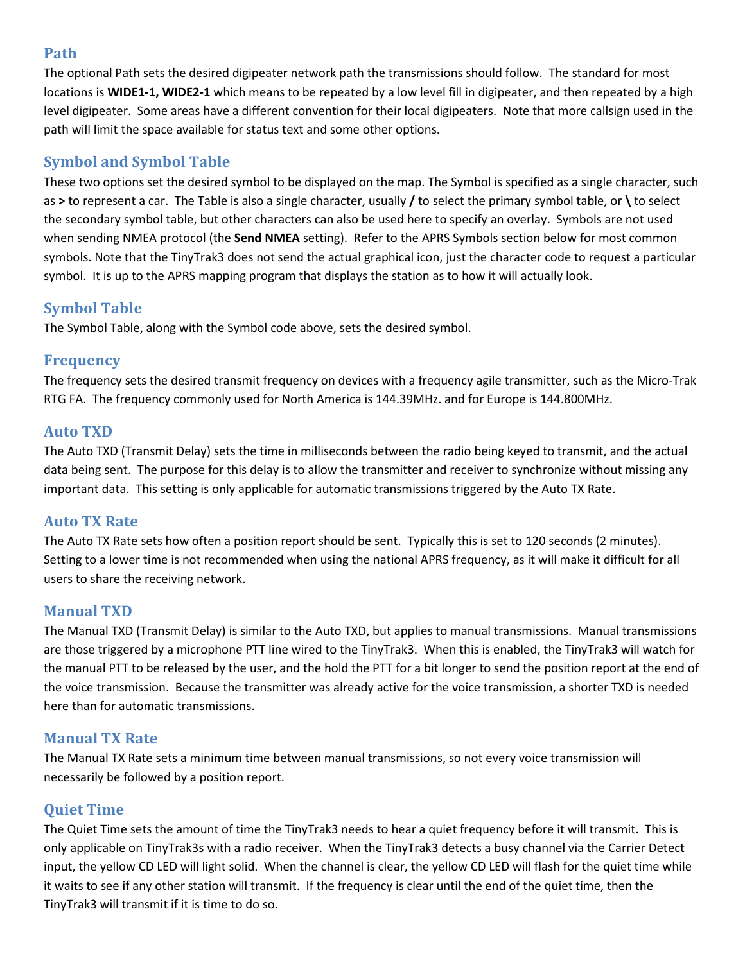#### Path

The optional Path sets the desired digipeater network path the transmissions should follow. The standard for most locations is WIDE1-1, WIDE2-1 which means to be repeated by a low level fill in digipeater, and then repeated by a high level digipeater. Some areas have a different convention for their local digipeaters. Note that more callsign used in the path will limit the space available for status text and some other options.

## Symbol and Symbol Table

These two options set the desired symbol to be displayed on the map. The Symbol is specified as a single character, such as > to represent a car. The Table is also a single character, usually  $\prime$  to select the primary symbol table, or \ to select the secondary symbol table, but other characters can also be used here to specify an overlay. Symbols are not used when sending NMEA protocol (the Send NMEA setting). Refer to the APRS Symbols section below for most common symbols. Note that the TinyTrak3 does not send the actual graphical icon, just the character code to request a particular symbol. It is up to the APRS mapping program that displays the station as to how it will actually look.

#### Symbol Table

The Symbol Table, along with the Symbol code above, sets the desired symbol.

#### Frequency

The frequency sets the desired transmit frequency on devices with a frequency agile transmitter, such as the Micro-Trak RTG FA. The frequency commonly used for North America is 144.39MHz. and for Europe is 144.800MHz.

#### Auto TXD

The Auto TXD (Transmit Delay) sets the time in milliseconds between the radio being keyed to transmit, and the actual data being sent. The purpose for this delay is to allow the transmitter and receiver to synchronize without missing any important data. This setting is only applicable for automatic transmissions triggered by the Auto TX Rate.

#### Auto TX Rate

The Auto TX Rate sets how often a position report should be sent. Typically this is set to 120 seconds (2 minutes). Setting to a lower time is not recommended when using the national APRS frequency, as it will make it difficult for all users to share the receiving network.

#### Manual TXD

The Manual TXD (Transmit Delay) is similar to the Auto TXD, but applies to manual transmissions. Manual transmissions are those triggered by a microphone PTT line wired to the TinyTrak3. When this is enabled, the TinyTrak3 will watch for the manual PTT to be released by the user, and the hold the PTT for a bit longer to send the position report at the end of the voice transmission. Because the transmitter was already active for the voice transmission, a shorter TXD is needed here than for automatic transmissions.

#### Manual TX Rate

The Manual TX Rate sets a minimum time between manual transmissions, so not every voice transmission will necessarily be followed by a position report.

#### Quiet Time

The Quiet Time sets the amount of time the TinyTrak3 needs to hear a quiet frequency before it will transmit. This is only applicable on TinyTrak3s with a radio receiver. When the TinyTrak3 detects a busy channel via the Carrier Detect input, the yellow CD LED will light solid. When the channel is clear, the yellow CD LED will flash for the quiet time while it waits to see if any other station will transmit. If the frequency is clear until the end of the quiet time, then the TinyTrak3 will transmit if it is time to do so.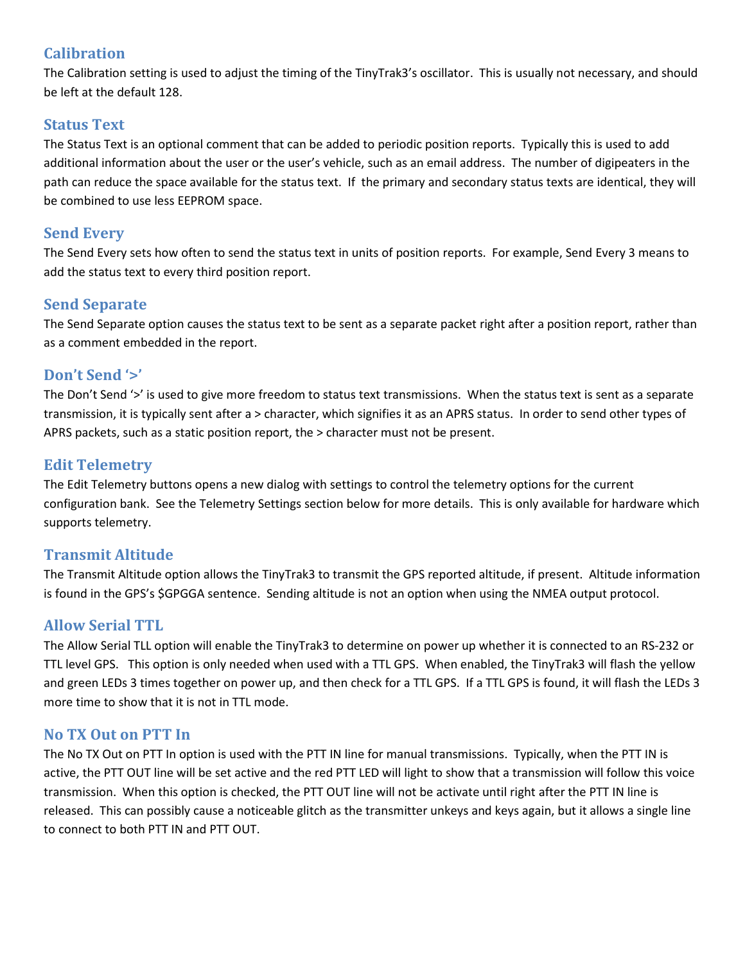#### **Calibration**

The Calibration setting is used to adjust the timing of the TinyTrak3's oscillator. This is usually not necessary, and should be left at the default 128.

#### Status Text

The Status Text is an optional comment that can be added to periodic position reports. Typically this is used to add additional information about the user or the user's vehicle, such as an email address. The number of digipeaters in the path can reduce the space available for the status text. If the primary and secondary status texts are identical, they will be combined to use less EEPROM space.

#### Send Every

The Send Every sets how often to send the status text in units of position reports. For example, Send Every 3 means to add the status text to every third position report.

#### Send Separate

The Send Separate option causes the status text to be sent as a separate packet right after a position report, rather than as a comment embedded in the report.

#### Don't Send '>'

The Don't Send '>' is used to give more freedom to status text transmissions. When the status text is sent as a separate transmission, it is typically sent after a > character, which signifies it as an APRS status. In order to send other types of APRS packets, such as a static position report, the > character must not be present.

#### Edit Telemetry

The Edit Telemetry buttons opens a new dialog with settings to control the telemetry options for the current configuration bank. See the Telemetry Settings section below for more details. This is only available for hardware which supports telemetry.

#### Transmit Altitude

The Transmit Altitude option allows the TinyTrak3 to transmit the GPS reported altitude, if present. Altitude information is found in the GPS's \$GPGGA sentence. Sending altitude is not an option when using the NMEA output protocol.

#### Allow Serial TTL

The Allow Serial TLL option will enable the TinyTrak3 to determine on power up whether it is connected to an RS-232 or TTL level GPS. This option is only needed when used with a TTL GPS. When enabled, the TinyTrak3 will flash the yellow and green LEDs 3 times together on power up, and then check for a TTL GPS. If a TTL GPS is found, it will flash the LEDs 3 more time to show that it is not in TTL mode.

#### No TX Out on PTT In

The No TX Out on PTT In option is used with the PTT IN line for manual transmissions. Typically, when the PTT IN is active, the PTT OUT line will be set active and the red PTT LED will light to show that a transmission will follow this voice transmission. When this option is checked, the PTT OUT line will not be activate until right after the PTT IN line is released. This can possibly cause a noticeable glitch as the transmitter unkeys and keys again, but it allows a single line to connect to both PTT IN and PTT OUT.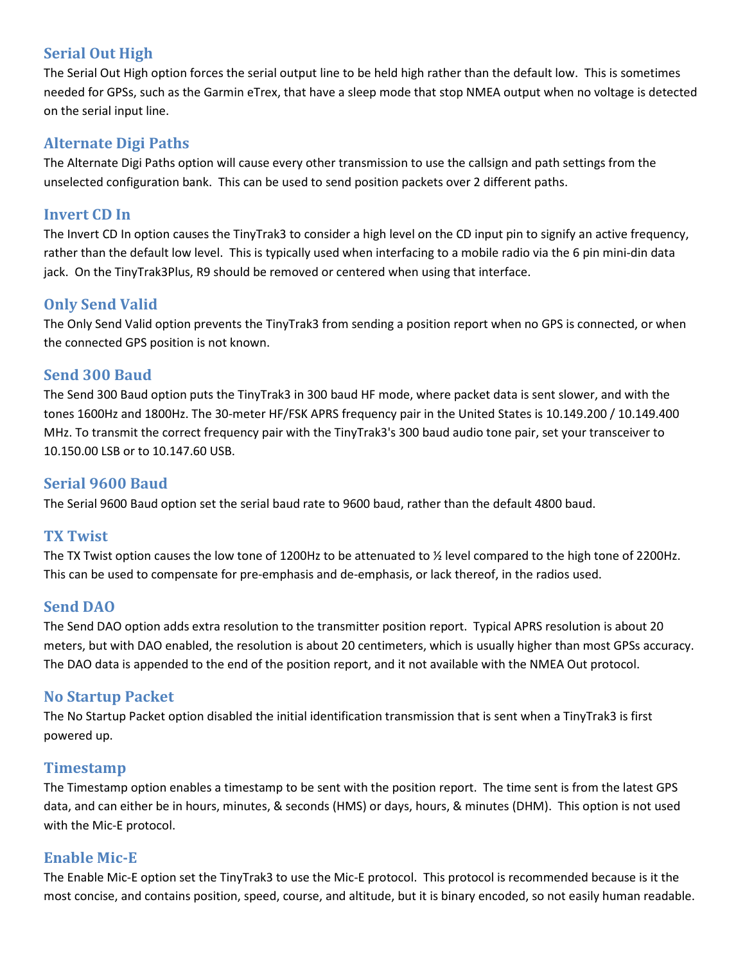#### Serial Out High

The Serial Out High option forces the serial output line to be held high rather than the default low. This is sometimes needed for GPSs, such as the Garmin eTrex, that have a sleep mode that stop NMEA output when no voltage is detected on the serial input line.

#### Alternate Digi Paths

The Alternate Digi Paths option will cause every other transmission to use the callsign and path settings from the unselected configuration bank. This can be used to send position packets over 2 different paths.

#### Invert CD In

The Invert CD In option causes the TinyTrak3 to consider a high level on the CD input pin to signify an active frequency, rather than the default low level. This is typically used when interfacing to a mobile radio via the 6 pin mini-din data jack. On the TinyTrak3Plus, R9 should be removed or centered when using that interface.

#### Only Send Valid

The Only Send Valid option prevents the TinyTrak3 from sending a position report when no GPS is connected, or when the connected GPS position is not known.

#### Send 300 Baud

The Send 300 Baud option puts the TinyTrak3 in 300 baud HF mode, where packet data is sent slower, and with the tones 1600Hz and 1800Hz. The 30-meter HF/FSK APRS frequency pair in the United States is 10.149.200 / 10.149.400 MHz. To transmit the correct frequency pair with the TinyTrak3's 300 baud audio tone pair, set your transceiver to 10.150.00 LSB or to 10.147.60 USB.

#### Serial 9600 Baud

The Serial 9600 Baud option set the serial baud rate to 9600 baud, rather than the default 4800 baud.

#### TX Twist

The TX Twist option causes the low tone of 1200Hz to be attenuated to ½ level compared to the high tone of 2200Hz. This can be used to compensate for pre-emphasis and de-emphasis, or lack thereof, in the radios used.

#### Send DAO

The Send DAO option adds extra resolution to the transmitter position report. Typical APRS resolution is about 20 meters, but with DAO enabled, the resolution is about 20 centimeters, which is usually higher than most GPSs accuracy. The DAO data is appended to the end of the position report, and it not available with the NMEA Out protocol.

#### No Startup Packet

The No Startup Packet option disabled the initial identification transmission that is sent when a TinyTrak3 is first powered up.

#### Timestamp

The Timestamp option enables a timestamp to be sent with the position report. The time sent is from the latest GPS data, and can either be in hours, minutes, & seconds (HMS) or days, hours, & minutes (DHM). This option is not used with the Mic-E protocol.

#### Enable Mic-E

The Enable Mic-E option set the TinyTrak3 to use the Mic-E protocol. This protocol is recommended because is it the most concise, and contains position, speed, course, and altitude, but it is binary encoded, so not easily human readable.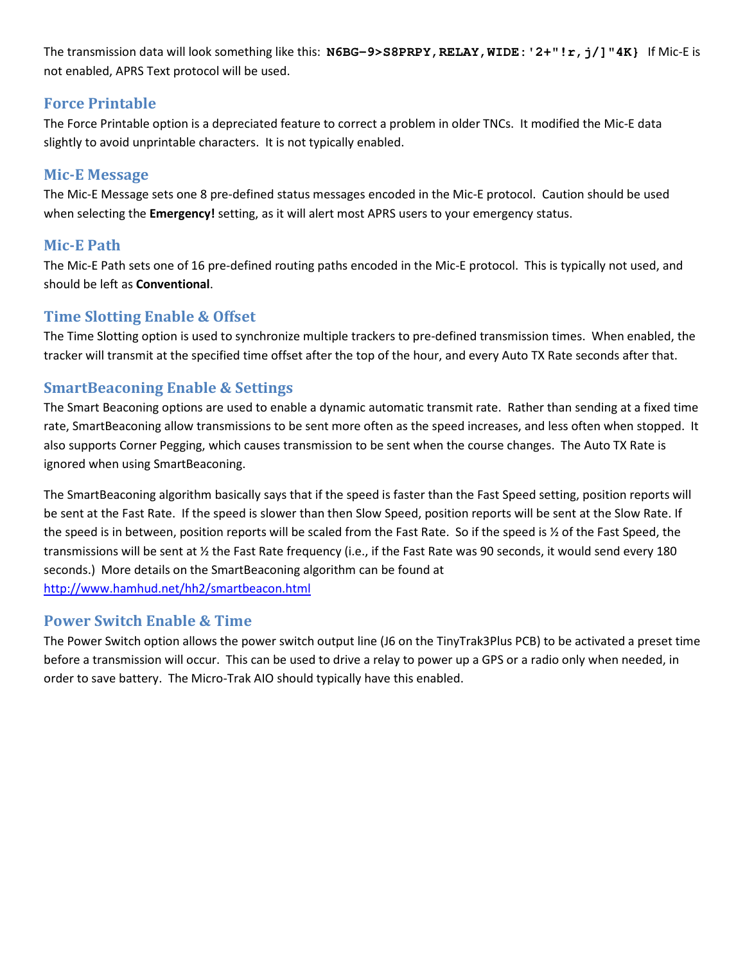The transmission data will look something like this: **N6BG-9>S8PRPY,RELAY,WIDE:'2+"!r,j/]"4K}** If Mic-E is not enabled, APRS Text protocol will be used.

#### Force Printable

The Force Printable option is a depreciated feature to correct a problem in older TNCs. It modified the Mic-E data slightly to avoid unprintable characters. It is not typically enabled.

#### Mic-E Message

The Mic-E Message sets one 8 pre-defined status messages encoded in the Mic-E protocol. Caution should be used when selecting the Emergency! setting, as it will alert most APRS users to your emergency status.

## Mic-E Path

The Mic-E Path sets one of 16 pre-defined routing paths encoded in the Mic-E protocol. This is typically not used, and should be left as Conventional.

#### Time Slotting Enable & Offset

The Time Slotting option is used to synchronize multiple trackers to pre-defined transmission times. When enabled, the tracker will transmit at the specified time offset after the top of the hour, and every Auto TX Rate seconds after that.

## SmartBeaconing Enable & Settings

The Smart Beaconing options are used to enable a dynamic automatic transmit rate. Rather than sending at a fixed time rate, SmartBeaconing allow transmissions to be sent more often as the speed increases, and less often when stopped. It also supports Corner Pegging, which causes transmission to be sent when the course changes. The Auto TX Rate is ignored when using SmartBeaconing.

The SmartBeaconing algorithm basically says that if the speed is faster than the Fast Speed setting, position reports will be sent at the Fast Rate. If the speed is slower than then Slow Speed, position reports will be sent at the Slow Rate. If the speed is in between, position reports will be scaled from the Fast Rate. So if the speed is ½ of the Fast Speed, the transmissions will be sent at  $\frac{1}{2}$  the Fast Rate frequency (i.e., if the Fast Rate was 90 seconds, it would send every 180 seconds.) More details on the SmartBeaconing algorithm can be found at http://www.hamhud.net/hh2/smartbeacon.html

#### Power Switch Enable & Time

The Power Switch option allows the power switch output line (J6 on the TinyTrak3Plus PCB) to be activated a preset time before a transmission will occur. This can be used to drive a relay to power up a GPS or a radio only when needed, in order to save battery. The Micro-Trak AIO should typically have this enabled.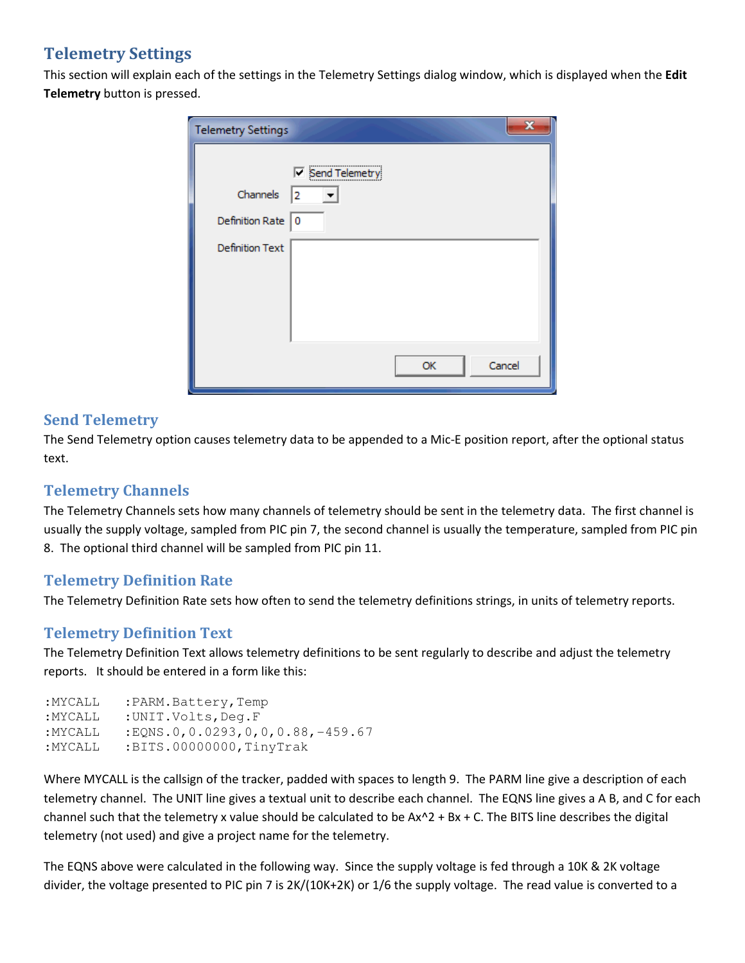## Telemetry Settings

This section will explain each of the settings in the Telemetry Settings dialog window, which is displayed when the Edit Telemetry button is pressed.

| <b>Telemetry Settings</b>                             | x                                       |
|-------------------------------------------------------|-----------------------------------------|
| Channels<br>Definition Rate<br><b>Definition Text</b> | <br>$\nabla$ Send Telemetry<br>I2<br>10 |
|                                                       | Cancel<br>OK                            |

#### Send Telemetry

The Send Telemetry option causes telemetry data to be appended to a Mic-E position report, after the optional status text.

## Telemetry Channels

The Telemetry Channels sets how many channels of telemetry should be sent in the telemetry data. The first channel is usually the supply voltage, sampled from PIC pin 7, the second channel is usually the temperature, sampled from PIC pin 8. The optional third channel will be sampled from PIC pin 11.

#### Telemetry Definition Rate

The Telemetry Definition Rate sets how often to send the telemetry definitions strings, in units of telemetry reports.

## Telemetry Definition Text

The Telemetry Definition Text allows telemetry definitions to be sent regularly to describe and adjust the telemetry reports. It should be entered in a form like this:

```
:MYCALL :PARM.Battery,Temp 
:MYCALL :UNIT.Volts,Deg.F 
:MYCALL :EQNS.0,0.0293,0,0,0.88,-459.67 
:MYCALL :BITS.00000000, TinyTrak
```
Where MYCALL is the callsign of the tracker, padded with spaces to length 9. The PARM line give a description of each telemetry channel. The UNIT line gives a textual unit to describe each channel. The EQNS line gives a A B, and C for each channel such that the telemetry x value should be calculated to be  $Ax^2 + Bx + C$ . The BITS line describes the digital telemetry (not used) and give a project name for the telemetry.

The EQNS above were calculated in the following way. Since the supply voltage is fed through a 10K & 2K voltage divider, the voltage presented to PIC pin 7 is 2K/(10K+2K) or 1/6 the supply voltage. The read value is converted to a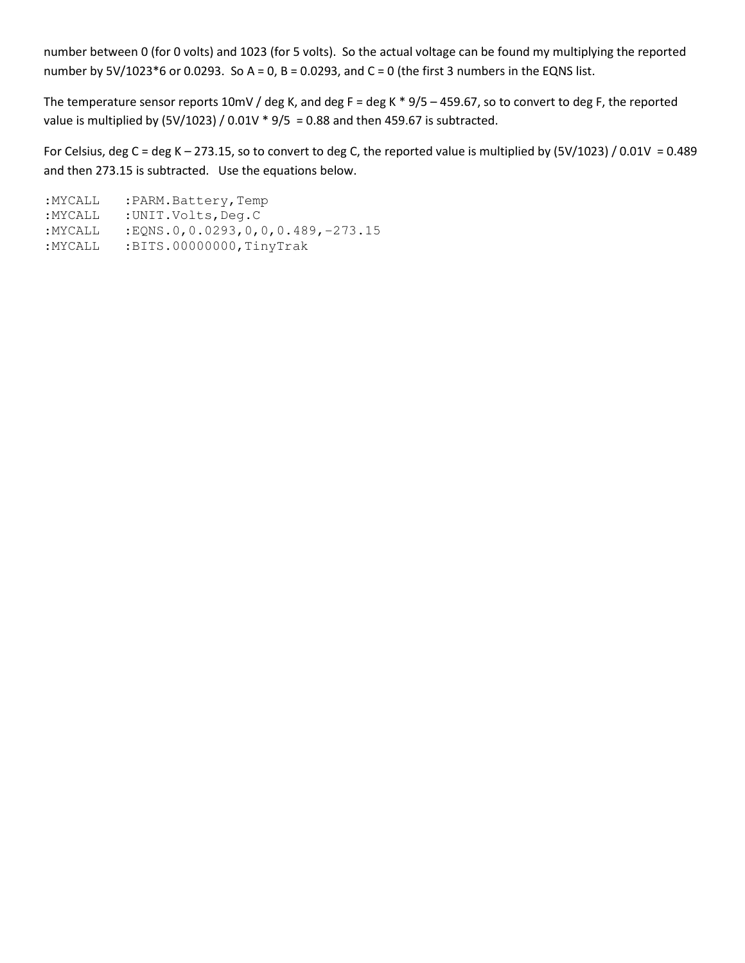number between 0 (for 0 volts) and 1023 (for 5 volts). So the actual voltage can be found my multiplying the reported number by  $5V/1023*6$  or 0.0293. So A = 0, B = 0.0293, and C = 0 (the first 3 numbers in the EQNS list.

The temperature sensor reports 10mV / deg K, and deg F = deg K  $*$  9/5 – 459.67, so to convert to deg F, the reported value is multiplied by  $(5V/1023) / 0.01V * 9/5 = 0.88$  and then 459.67 is subtracted.

For Celsius, deg C = deg K – 273.15, so to convert to deg C, the reported value is multiplied by (5V/1023) / 0.01V = 0.489 and then 273.15 is subtracted. Use the equations below.

:MYCALL :PARM.Battery,Temp :MYCALL :UNIT.Volts,Deg.C :MYCALL :EQNS.0,0.0293,0,0,0.489,-273.15 :MYCALL :BITS.00000000,TinyTrak